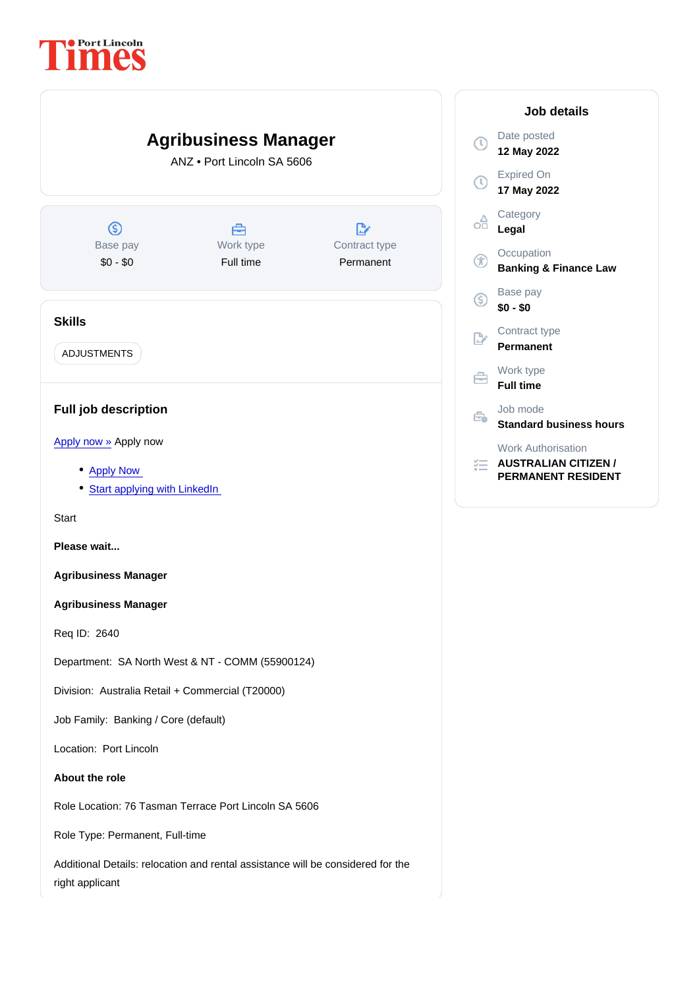

right applicant

## Job details

Date posted 12 May 2022

Expired On 17 May 2022

**Category** Legal

**Occupation** Banking & Finance Law

Base pay \$0 - \$0

Contract type Permanent

Work type

Job mode Standard business hours

Work Authorisation

AUSTRALIAN CITIZEN / PERMANENT RESIDENT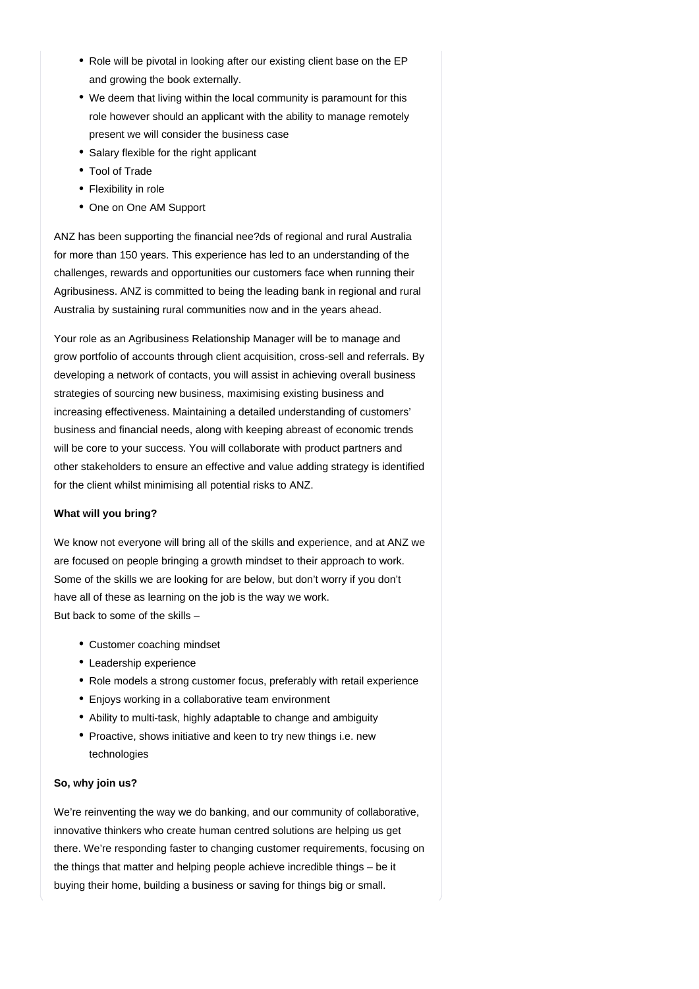- Role will be pivotal in looking after our existing client base on the EP and growing the book externally.
- We deem that living within the local community is paramount for this role however should an applicant with the ability to manage remotely present we will consider the business case
- Salary flexible for the right applicant
- Tool of Trade
- Flexibility in role
- One on One AM Support

ANZ has been supporting the financial nee?ds of regional and rural Australia for more than 150 years. This experience has led to an understanding of the challenges, rewards and opportunities our customers face when running their Agribusiness. ANZ is committed to being the leading bank in regional and rural Australia by sustaining rural communities now and in the years ahead.

Your role as an Agribusiness Relationship Manager will be to manage and grow portfolio of accounts through client acquisition, cross-sell and referrals. By developing a network of contacts, you will assist in achieving overall business strategies of sourcing new business, maximising existing business and increasing effectiveness. Maintaining a detailed understanding of customers' business and financial needs, along with keeping abreast of economic trends will be core to your success. You will collaborate with product partners and other stakeholders to ensure an effective and value adding strategy is identified for the client whilst minimising all potential risks to ANZ.

## **What will you bring?**

We know not everyone will bring all of the skills and experience, and at ANZ we are focused on people bringing a growth mindset to their approach to work. Some of the skills we are looking for are below, but don't worry if you don't have all of these as learning on the job is the way we work. But back to some of the skills –

- Customer coaching mindset
- Leadership experience
- Role models a strong customer focus, preferably with retail experience
- Enjoys working in a collaborative team environment
- Ability to multi-task, highly adaptable to change and ambiguity
- Proactive, shows initiative and keen to try new things i.e. new technologies

## **So, why join us?**

We're reinventing the way we do banking, and our community of collaborative, innovative thinkers who create human centred solutions are helping us get there. We're responding faster to changing customer requirements, focusing on the things that matter and helping people achieve incredible things – be it buying their home, building a business or saving for things big or small.